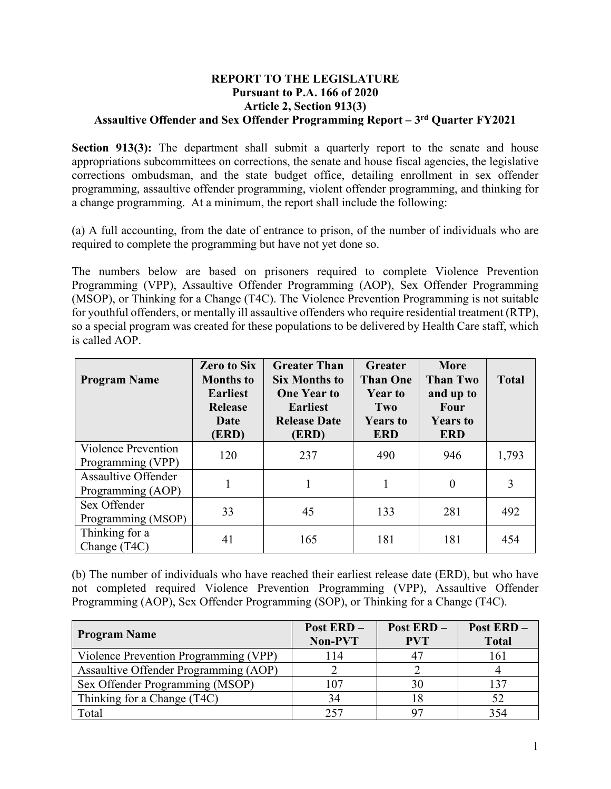## **REPORT TO THE LEGISLATURE Pursuant to P.A. 166 of 2020 Article 2, Section 913(3) Assaultive Offender and Sex Offender Programming Report – 3rd Quarter FY2021**

**Section 913(3):** The department shall submit a quarterly report to the senate and house appropriations subcommittees on corrections, the senate and house fiscal agencies, the legislative corrections ombudsman, and the state budget office, detailing enrollment in sex offender programming, assaultive offender programming, violent offender programming, and thinking for a change programming. At a minimum, the report shall include the following:

(a) A full accounting, from the date of entrance to prison, of the number of individuals who are required to complete the programming but have not yet done so.

The numbers below are based on prisoners required to complete Violence Prevention Programming (VPP), Assaultive Offender Programming (AOP), Sex Offender Programming (MSOP), or Thinking for a Change (T4C). The Violence Prevention Programming is not suitable for youthful offenders, or mentally ill assaultive offenders who require residential treatment (RTP), so a special program was created for these populations to be delivered by Health Care staff, which is called AOP.

| <b>Program Name</b>                             | <b>Zero to Six</b><br><b>Months to</b><br><b>Earliest</b><br>Release<br>Date<br>(ERD) | <b>Greater Than</b><br><b>Six Months to</b><br><b>One Year to</b><br><b>Earliest</b><br><b>Release Date</b><br>(ERD) | Greater<br><b>Than One</b><br><b>Year to</b><br>Two<br><b>Years to</b><br><b>ERD</b> | <b>More</b><br><b>Than Two</b><br>and up to<br>Four<br><b>Years to</b><br><b>ERD</b> | <b>Total</b> |
|-------------------------------------------------|---------------------------------------------------------------------------------------|----------------------------------------------------------------------------------------------------------------------|--------------------------------------------------------------------------------------|--------------------------------------------------------------------------------------|--------------|
| Violence Prevention<br>Programming (VPP)        | 120                                                                                   | 237                                                                                                                  | 490                                                                                  | 946                                                                                  | 1,793        |
| <b>Assaultive Offender</b><br>Programming (AOP) |                                                                                       |                                                                                                                      |                                                                                      | $\overline{0}$                                                                       | 3            |
| Sex Offender<br>Programming (MSOP)              | 33                                                                                    | 45                                                                                                                   | 133                                                                                  | 281                                                                                  | 492          |
| Thinking for a<br>Change (T4C)                  | 41                                                                                    | 165                                                                                                                  | 181                                                                                  | 181                                                                                  | 454          |

(b) The number of individuals who have reached their earliest release date (ERD), but who have not completed required Violence Prevention Programming (VPP), Assaultive Offender Programming (AOP), Sex Offender Programming (SOP), or Thinking for a Change (T4C).

| <b>Program Name</b>                   | <b>Post ERD -</b><br><b>Non-PVT</b> | Post ERD-<br><b>PVT</b> | <b>Post ERD -</b><br><b>Total</b> |
|---------------------------------------|-------------------------------------|-------------------------|-----------------------------------|
| Violence Prevention Programming (VPP) | 114                                 |                         | 161                               |
| Assaultive Offender Programming (AOP) |                                     |                         |                                   |
| Sex Offender Programming (MSOP)       | 107                                 | 30                      | 13 <sup>7</sup>                   |
| Thinking for a Change (T4C)           | 34                                  |                         | 52                                |
| Total                                 | 257                                 |                         | 354                               |